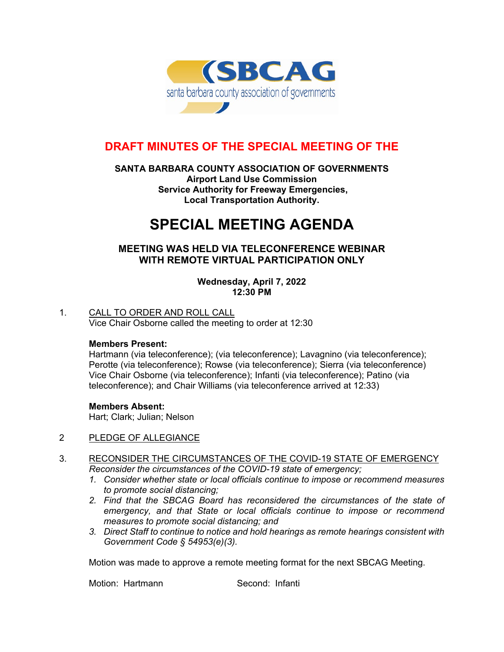

# **DRAFT MINUTES OF THE SPECIAL MEETING OF THE**

### **SANTA BARBARA COUNTY ASSOCIATION OF GOVERNMENTS Airport Land Use Commission Service Authority for Freeway Emergencies, Local Transportation Authority.**

# **SPECIAL MEETING AGENDA**

# **MEETING WAS HELD VIA TELECONFERENCE WEBINAR WITH REMOTE VIRTUAL PARTICIPATION ONLY**

**Wednesday, April 7, 2022 12:30 PM**

# 1. CALL TO ORDER AND ROLL CALL

Vice Chair Osborne called the meeting to order at 12:30

#### **Members Present:**

Hartmann (via teleconference); (via teleconference); Lavagnino (via teleconference); Perotte (via teleconference); Rowse (via teleconference); Sierra (via teleconference) Vice Chair Osborne (via teleconference); Infanti (via teleconference); Patino (via teleconference); and Chair Williams (via teleconference arrived at 12:33)

#### **Members Absent:**

Hart; Clark; Julian; Nelson

#### 2 PLEDGE OF ALLEGIANCE

- 3. RECONSIDER THE CIRCUMSTANCES OF THE COVID-19 STATE OF EMERGENCY *Reconsider the circumstances of the COVID-19 state of emergency;* 
	- *1. Consider whether state or local officials continue to impose or recommend measures to promote social distancing;*
	- *2. Find that the SBCAG Board has reconsidered the circumstances of the state of emergency, and that State or local officials continue to impose or recommend measures to promote social distancing; and*
	- *3. Direct Staff to continue to notice and hold hearings as remote hearings consistent with Government Code § 54953(e)(3).*

Motion was made to approve a remote meeting format for the next SBCAG Meeting.

Motion: Hartmann Second: Infanti